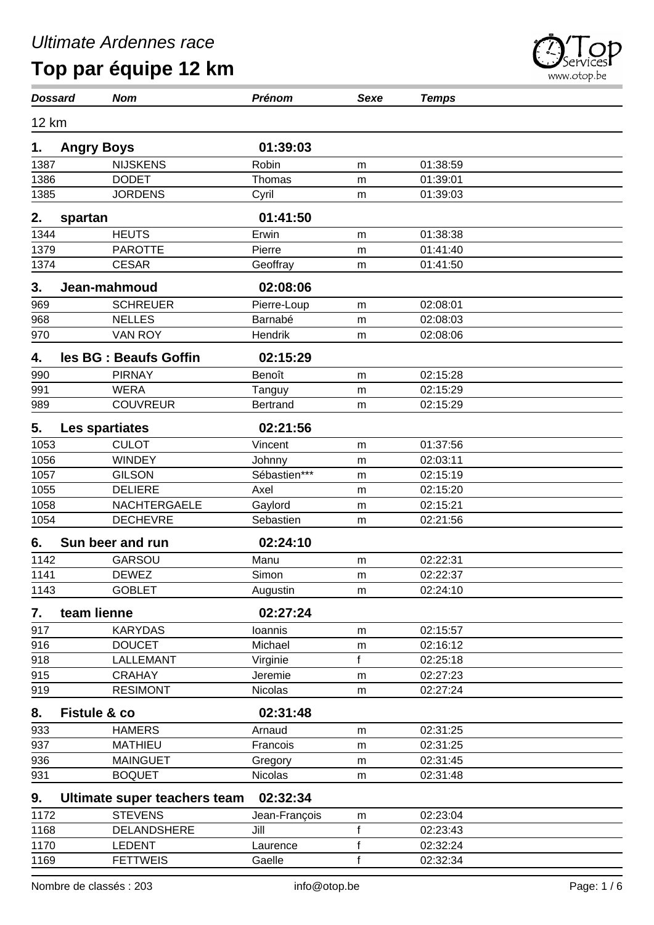| <b>Dossard</b> |                         | <b>Nom</b>                   | Prénom          | <b>Sexe</b>  | <b>Temps</b> |  |
|----------------|-------------------------|------------------------------|-----------------|--------------|--------------|--|
| 12 km          |                         |                              |                 |              |              |  |
| 1.             | <b>Angry Boys</b>       |                              | 01:39:03        |              |              |  |
| 1387           |                         | <b>NIJSKENS</b>              | Robin           | m            | 01:38:59     |  |
| 1386           |                         | <b>DODET</b>                 | Thomas          | m            | 01:39:01     |  |
| 1385           |                         | <b>JORDENS</b>               | Cyril           | m            | 01:39:03     |  |
| 2.             | spartan                 |                              | 01:41:50        |              |              |  |
| 1344           |                         | <b>HEUTS</b>                 | Erwin           | m            | 01:38:38     |  |
| 1379           |                         | <b>PAROTTE</b>               | Pierre          | m            | 01:41:40     |  |
| 1374           |                         | <b>CESAR</b>                 | Geoffray        | m            | 01:41:50     |  |
| 3.             |                         | Jean-mahmoud                 | 02:08:06        |              |              |  |
| 969            |                         | <b>SCHREUER</b>              | Pierre-Loup     | m            | 02:08:01     |  |
| 968            |                         | <b>NELLES</b>                | Barnabé         | m            | 02:08:03     |  |
| 970            |                         | <b>VAN ROY</b>               | Hendrik         | m            | 02:08:06     |  |
| 4.             |                         | les BG : Beaufs Goffin       | 02:15:29        |              |              |  |
| 990            |                         | <b>PIRNAY</b>                | Benoît          | m            | 02:15:28     |  |
| 991            |                         | <b>WERA</b>                  | Tanguy          | m            | 02:15:29     |  |
| 989            |                         | <b>COUVREUR</b>              | <b>Bertrand</b> | m            | 02:15:29     |  |
| 5.             |                         | Les spartiates               | 02:21:56        |              |              |  |
| 1053           |                         | <b>CULOT</b>                 | Vincent         | m            | 01:37:56     |  |
| 1056           |                         | <b>WINDEY</b>                | Johnny          | m            | 02:03:11     |  |
| 1057           |                         | <b>GILSON</b>                | Sébastien***    | m            | 02:15:19     |  |
| 1055           |                         | <b>DELIERE</b>               | Axel            | m            | 02:15:20     |  |
| 1058           |                         | NACHTERGAELE                 | Gaylord         | m            | 02:15:21     |  |
| 1054           |                         | <b>DECHEVRE</b>              | Sebastien       | m            | 02:21:56     |  |
| 6.             |                         | Sun beer and run             | 02:24:10        |              |              |  |
| 1142           |                         | <b>GARSOU</b>                | Manu            | m            | 02:22:31     |  |
| 1141           |                         | <b>DEWEZ</b>                 | Simon           | m            | 02:22:37     |  |
| 1143           |                         | <b>GOBLET</b>                | Augustin        | m            | 02:24:10     |  |
| 7.             | team lienne             |                              | 02:27:24        |              |              |  |
| 917            |                         | <b>KARYDAS</b>               | Ioannis         | m            | 02:15:57     |  |
| 916            |                         | <b>DOUCET</b>                | Michael         | m            | 02:16:12     |  |
| 918            |                         | LALLEMANT                    | Virginie        | f            | 02:25:18     |  |
| 915            |                         | <b>CRAHAY</b>                | Jeremie         | m            | 02:27:23     |  |
| 919            |                         | <b>RESIMONT</b>              | Nicolas         | m            | 02:27:24     |  |
| 8.             | <b>Fistule &amp; co</b> |                              | 02:31:48        |              |              |  |
| 933            |                         | <b>HAMERS</b>                | Arnaud          | m            | 02:31:25     |  |
| 937            |                         | <b>MATHIEU</b>               | Francois        | m            | 02:31:25     |  |
| 936            |                         | <b>MAINGUET</b>              | Gregory         | m            | 02:31:45     |  |
| 931            |                         | <b>BOQUET</b>                | Nicolas         | m            | 02:31:48     |  |
| 9.             |                         | Ultimate super teachers team | 02:32:34        |              |              |  |
| 1172           |                         | <b>STEVENS</b>               | Jean-François   | m            | 02:23:04     |  |
| 1168           |                         | DELANDSHERE                  | Jill            | f            | 02:23:43     |  |
| 1170           |                         | <b>LEDENT</b>                | Laurence        | $\mathsf{f}$ | 02:32:24     |  |
| 1169           |                         | <b>FETTWEIS</b>              | Gaelle          | $\mathsf f$  | 02:32:34     |  |

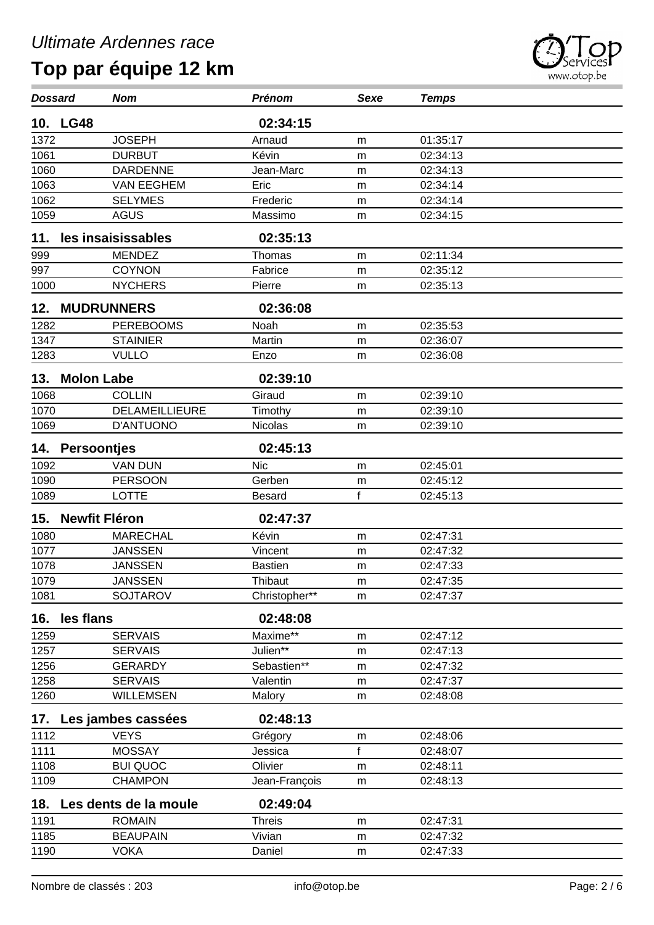| <b>Dossard</b> |                      | <b>Nom</b>            | <b>Prénom</b>  | <b>Sexe</b> | <b>Temps</b> |  |
|----------------|----------------------|-----------------------|----------------|-------------|--------------|--|
|                | 10. LG48             |                       | 02:34:15       |             |              |  |
| 1372           |                      | <b>JOSEPH</b>         | Arnaud         | m           | 01:35:17     |  |
| 1061           |                      | <b>DURBUT</b>         | Kévin          | m           | 02:34:13     |  |
| 1060           |                      | <b>DARDENNE</b>       | Jean-Marc      | m           | 02:34:13     |  |
| 1063           |                      | <b>VAN EEGHEM</b>     | Eric           | m           | 02:34:14     |  |
| 1062           |                      | <b>SELYMES</b>        | Frederic       | m           | 02:34:14     |  |
| 1059           |                      | <b>AGUS</b>           | Massimo        | m           | 02:34:15     |  |
| 11.            |                      | les insaisissables    | 02:35:13       |             |              |  |
| 999            |                      | <b>MENDEZ</b>         | Thomas         | m           | 02:11:34     |  |
| 997            |                      | <b>COYNON</b>         | Fabrice        | m           | 02:35:12     |  |
| 1000           |                      | <b>NYCHERS</b>        | Pierre         | m           | 02:35:13     |  |
| 12.            |                      | <b>MUDRUNNERS</b>     | 02:36:08       |             |              |  |
| 1282           |                      | <b>PEREBOOMS</b>      | Noah           | m           | 02:35:53     |  |
| 1347           |                      | <b>STAINIER</b>       | Martin         | m           | 02:36:07     |  |
| 1283           |                      | <b>VULLO</b>          | Enzo           | m           | 02:36:08     |  |
| 13.            | <b>Molon Labe</b>    |                       | 02:39:10       |             |              |  |
| 1068           |                      | <b>COLLIN</b>         | Giraud         | m           | 02:39:10     |  |
| 1070           |                      | DELAMEILLIEURE        | Timothy        | m           | 02:39:10     |  |
| 1069           |                      | D'ANTUONO             | <b>Nicolas</b> | m           | 02:39:10     |  |
| 14.            | <b>Persoontjes</b>   |                       | 02:45:13       |             |              |  |
| 1092           |                      | <b>VAN DUN</b>        | <b>Nic</b>     | m           | 02:45:01     |  |
| 1090           |                      | <b>PERSOON</b>        | Gerben         | m           | 02:45:12     |  |
| 1089           |                      | <b>LOTTE</b>          | <b>Besard</b>  | f           | 02:45:13     |  |
| 15.            | <b>Newfit Fléron</b> |                       | 02:47:37       |             |              |  |
| 1080           |                      | <b>MARECHAL</b>       | Kévin          | m           | 02:47:31     |  |
| 1077           |                      | <b>JANSSEN</b>        | Vincent        | m           | 02:47:32     |  |
| 1078           |                      | <b>JANSSEN</b>        | <b>Bastien</b> | m           | 02:47:33     |  |
| 1079           |                      | <b>JANSSEN</b>        | Thibaut        | m           | 02:47:35     |  |
| 1081           |                      | <b>SOJTAROV</b>       | Christopher**  | m           | 02:47:37     |  |
| 16.            | les flans            |                       | 02:48:08       |             |              |  |
| 1259           |                      | <b>SERVAIS</b>        | Maxime**       | m           | 02:47:12     |  |
| 1257           |                      | <b>SERVAIS</b>        | Julien**       | m           | 02:47:13     |  |
| 1256           |                      | <b>GERARDY</b>        | Sebastien**    | m           | 02:47:32     |  |
| 1258           |                      | <b>SERVAIS</b>        | Valentin       | m           | 02:47:37     |  |
| 1260           |                      | <b>WILLEMSEN</b>      | Malory         | m           | 02:48:08     |  |
| 17.            |                      | Les jambes cassées    | 02:48:13       |             |              |  |
| 1112           |                      | <b>VEYS</b>           | Grégory        | m           | 02:48:06     |  |
| 1111           |                      | <b>MOSSAY</b>         | Jessica        | f           | 02:48:07     |  |
| 1108           |                      | <b>BUI QUOC</b>       | Olivier        | m           | 02:48:11     |  |
| 1109           |                      | <b>CHAMPON</b>        | Jean-François  | m           | 02:48:13     |  |
| 18.            |                      | Les dents de la moule | 02:49:04       |             |              |  |
| 1191           |                      | <b>ROMAIN</b>         | <b>Threis</b>  | m           | 02:47:31     |  |
| 1185           |                      | <b>BEAUPAIN</b>       | Vivian         | m           | 02:47:32     |  |
| 1190           |                      | <b>VOKA</b>           | Daniel         | m           | 02:47:33     |  |
|                |                      |                       |                |             |              |  |

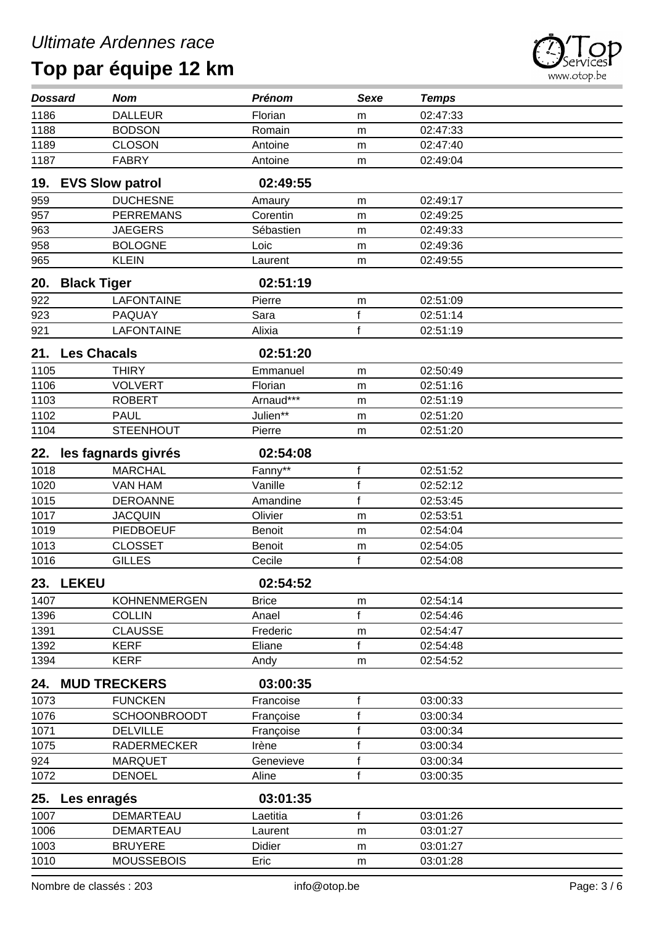

| <b>Dossard</b> | <b>Nom</b>             |                     | <b>Prénom</b> | <b>Sexe</b>  | <b>Temps</b> |
|----------------|------------------------|---------------------|---------------|--------------|--------------|
| 1186           | <b>DALLEUR</b>         |                     | Florian       | m            | 02:47:33     |
| 1188           | <b>BODSON</b>          |                     | Romain        | m            | 02:47:33     |
| 1189           | <b>CLOSON</b>          |                     | Antoine       | m            | 02:47:40     |
| 1187           | <b>FABRY</b>           |                     | Antoine       | m            | 02:49:04     |
| 19.            | <b>EVS Slow patrol</b> |                     | 02:49:55      |              |              |
| 959            | <b>DUCHESNE</b>        |                     | Amaury        | m            | 02:49:17     |
| 957            | <b>PERREMANS</b>       |                     | Corentin      | m            | 02:49:25     |
| 963            | <b>JAEGERS</b>         |                     | Sébastien     | m            | 02:49:33     |
| 958            | <b>BOLOGNE</b>         |                     | Loic          | m            | 02:49:36     |
| 965            | <b>KLEIN</b>           |                     | Laurent       | m            | 02:49:55     |
| 20.            | <b>Black Tiger</b>     |                     | 02:51:19      |              |              |
| 922            | <b>LAFONTAINE</b>      |                     | Pierre        | m            | 02:51:09     |
| 923            | PAQUAY                 |                     | Sara          | $\mathsf f$  | 02:51:14     |
| 921            | <b>LAFONTAINE</b>      |                     | Alixia        | $\mathsf{f}$ | 02:51:19     |
| 21.            | <b>Les Chacals</b>     |                     | 02:51:20      |              |              |
| 1105           | <b>THIRY</b>           |                     | Emmanuel      | m            | 02:50:49     |
| 1106           | <b>VOLVERT</b>         |                     | Florian       | m            | 02:51:16     |
| 1103           | <b>ROBERT</b>          |                     | Arnaud***     | m            | 02:51:19     |
| 1102           | <b>PAUL</b>            |                     | Julien**      | m            | 02:51:20     |
| 1104           | <b>STEENHOUT</b>       |                     | Pierre        | m            | 02:51:20     |
| 22.            | les fagnards givrés    |                     | 02:54:08      |              |              |
| 1018           | <b>MARCHAL</b>         |                     | Fanny**       | $\mathsf f$  | 02:51:52     |
| 1020           | <b>VAN HAM</b>         |                     | Vanille       | $\mathsf f$  | 02:52:12     |
| 1015           | <b>DEROANNE</b>        |                     | Amandine      | $\mathsf{f}$ | 02:53:45     |
| 1017           | <b>JACQUIN</b>         |                     | Olivier       | m            | 02:53:51     |
| 1019           | PIEDBOEUF              |                     | <b>Benoit</b> | m            | 02:54:04     |
| 1013           | <b>CLOSSET</b>         |                     | <b>Benoit</b> | m            | 02:54:05     |
| 1016           | <b>GILLES</b>          |                     | Cecile        | f            | 02:54:08     |
|                | 23. LEKEU              |                     | 02:54:52      |              |              |
| 1407           |                        | <b>KOHNENMERGEN</b> | <b>Brice</b>  | m            | 02:54:14     |
| 1396           | <b>COLLIN</b>          |                     | Anael         | f            | 02:54:46     |
| 1391           | <b>CLAUSSE</b>         |                     | Frederic      | m            | 02:54:47     |
| 1392           | KERF                   |                     | Eliane        | f            | 02:54:48     |
| 1394           | <b>KERF</b>            |                     | Andy          | m            | 02:54:52     |
| 24.            | <b>MUD TRECKERS</b>    |                     | 03:00:35      |              |              |
| 1073           | <b>FUNCKEN</b>         |                     | Francoise     | f            | 03:00:33     |
| 1076           |                        | <b>SCHOONBROODT</b> | Françoise     | f            | 03:00:34     |
| 1071           | <b>DELVILLE</b>        |                     | Françoise     | f            | 03:00:34     |
| 1075           |                        | <b>RADERMECKER</b>  | Irène         | f            | 03:00:34     |
| 924            | <b>MARQUET</b>         |                     | Genevieve     | f            | 03:00:34     |
| 1072           | <b>DENOEL</b>          |                     | Aline         | f            | 03:00:35     |
| 25.            | Les enragés            |                     | 03:01:35      |              |              |
| 1007           | DEMARTEAU              |                     | Laetitia      | $\mathsf f$  | 03:01:26     |
| 1006           | <b>DEMARTEAU</b>       |                     | Laurent       | m            | 03:01:27     |
| 1003           | <b>BRUYERE</b>         |                     | <b>Didier</b> | m            | 03:01:27     |
| 1010           | <b>MOUSSEBOIS</b>      |                     | Eric          | m            | 03:01:28     |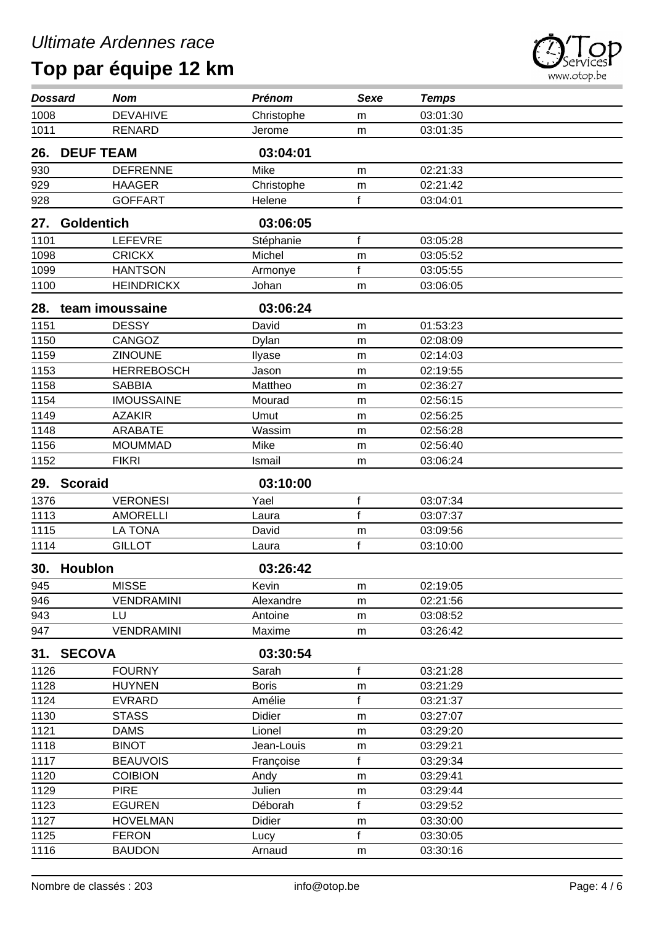

| <b>Dossard</b>   | <b>Nom</b>        | <b>Prénom</b> | <b>Sexe</b>  | <b>Temps</b> |  |
|------------------|-------------------|---------------|--------------|--------------|--|
| 1008             | <b>DEVAHIVE</b>   | Christophe    | m            | 03:01:30     |  |
| 1011             | <b>RENARD</b>     | Jerome        | m            | 03:01:35     |  |
| 26.              | <b>DEUF TEAM</b>  | 03:04:01      |              |              |  |
| 930              | <b>DEFRENNE</b>   | Mike          | m            | 02:21:33     |  |
| $\overline{929}$ | <b>HAAGER</b>     | Christophe    | m            | 02:21:42     |  |
| 928              | <b>GOFFART</b>    | Helene        | f            | 03:04:01     |  |
| 27.              | <b>Goldentich</b> | 03:06:05      |              |              |  |
| 1101             | <b>LEFEVRE</b>    | Stéphanie     | $\mathsf{f}$ | 03:05:28     |  |
| 1098             | <b>CRICKX</b>     | Michel        | m            | 03:05:52     |  |
| 1099             | <b>HANTSON</b>    | Armonye       | $\mathsf{f}$ | 03:05:55     |  |
| 1100             | <b>HEINDRICKX</b> | Johan         | m            | 03:06:05     |  |
| 28.              | team imoussaine   | 03:06:24      |              |              |  |
| 1151             | <b>DESSY</b>      | David         | m            | 01:53:23     |  |
| 1150             | CANGOZ            | Dylan         | m            | 02:08:09     |  |
| 1159             | <b>ZINOUNE</b>    | Ilyase        | m            | 02:14:03     |  |
| 1153             | <b>HERREBOSCH</b> | Jason         | m            | 02:19:55     |  |
| 1158             | <b>SABBIA</b>     | Mattheo       | m            | 02:36:27     |  |
| 1154             | <b>IMOUSSAINE</b> | Mourad        | m            | 02:56:15     |  |
| 1149             | <b>AZAKIR</b>     | Umut          | m            | 02:56:25     |  |
| 1148             | <b>ARABATE</b>    | Wassim        | m            | 02:56:28     |  |
| 1156             | <b>MOUMMAD</b>    | Mike          | m            | 02:56:40     |  |
| 1152             | <b>FIKRI</b>      | Ismail        | m            | 03:06:24     |  |
| 29.              | <b>Scoraid</b>    | 03:10:00      |              |              |  |
| 1376             | <b>VERONESI</b>   | Yael          | $\mathsf f$  | 03:07:34     |  |
| 1113             | <b>AMORELLI</b>   | Laura         | $\mathsf{f}$ | 03:07:37     |  |
| 1115             | <b>LA TONA</b>    | David         | m            | 03:09:56     |  |
| 1114             | <b>GILLOT</b>     | Laura         | f            | 03:10:00     |  |
| 30.              | <b>Houblon</b>    | 03:26:42      |              |              |  |
| 945              |                   |               |              |              |  |
| 946              | <b>MISSE</b>      | Kevin         | m            | 02:19:05     |  |
|                  | <b>VENDRAMINI</b> | Alexandre     | m            | 02:21:56     |  |
| 943              | LU                | Antoine       | m            | 03:08:52     |  |
| 947              | <b>VENDRAMINI</b> | Maxime        | m            | 03:26:42     |  |
| 31.              | <b>SECOVA</b>     | 03:30:54      |              |              |  |
| 1126             | <b>FOURNY</b>     | Sarah         | f            | 03:21:28     |  |
| 1128             | <b>HUYNEN</b>     | <b>Boris</b>  | m            | 03:21:29     |  |
| 1124             | <b>EVRARD</b>     | Amélie        | f            | 03:21:37     |  |
| 1130             | <b>STASS</b>      | Didier        | m            | 03:27:07     |  |
| 1121             | <b>DAMS</b>       | Lionel        | m            | 03:29:20     |  |
| 1118             | <b>BINOT</b>      | Jean-Louis    | m            | 03:29:21     |  |
| 1117             | <b>BEAUVOIS</b>   | Françoise     | $\mathsf{f}$ | 03:29:34     |  |
| 1120             | <b>COIBION</b>    | Andy          | m            | 03:29:41     |  |
| 1129             | <b>PIRE</b>       | Julien        | m            | 03:29:44     |  |
| 1123             | <b>EGUREN</b>     | Déborah       | $\mathsf{f}$ | 03:29:52     |  |
| 1127             | <b>HOVELMAN</b>   | Didier        | m            | 03:30:00     |  |
| 1125             | <b>FERON</b>      | Lucy          | $\mathsf{f}$ | 03:30:05     |  |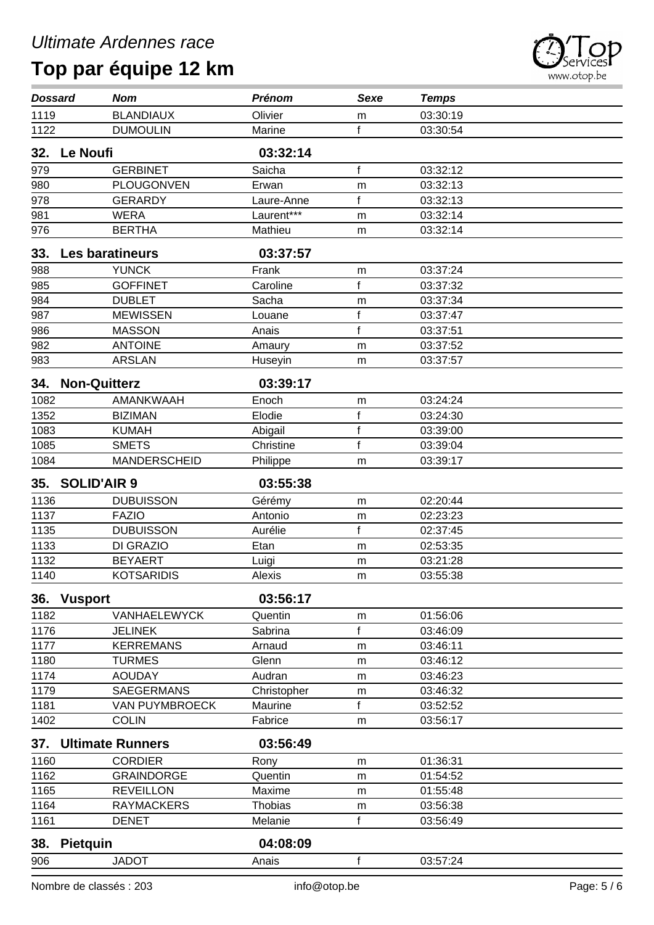| <b>Dossard</b>   |                     | <b>Nom</b>              | <b>Prénom</b> | <b>Sexe</b>  | <b>Temps</b> |  |
|------------------|---------------------|-------------------------|---------------|--------------|--------------|--|
| 1119             |                     | <b>BLANDIAUX</b>        | Olivier       | m            | 03:30:19     |  |
| 1122             |                     | <b>DUMOULIN</b>         | Marine        | f            | 03:30:54     |  |
| 32.              | Le Noufi            |                         | 03:32:14      |              |              |  |
| 979              |                     | <b>GERBINET</b>         | Saicha        | $\mathsf f$  | 03:32:12     |  |
| 980              |                     | PLOUGONVEN              | Erwan         | m            | 03:32:13     |  |
| 978              |                     | <b>GERARDY</b>          | Laure-Anne    | $\mathsf{f}$ | 03:32:13     |  |
| 981              |                     | <b>WERA</b>             | Laurent***    | m            | 03:32:14     |  |
| 976              |                     | <b>BERTHA</b>           | Mathieu       | m            | 03:32:14     |  |
| 33.              | Les baratineurs     |                         | 03:37:57      |              |              |  |
| 988              |                     | <b>YUNCK</b>            | Frank         | m            | 03:37:24     |  |
| 985              |                     | <b>GOFFINET</b>         | Caroline      | f            | 03:37:32     |  |
| 984              |                     | <b>DUBLET</b>           | Sacha         | m            | 03:37:34     |  |
| $\overline{987}$ |                     | <b>MEWISSEN</b>         | Louane        | f            | 03:37:47     |  |
| 986              |                     | <b>MASSON</b>           | Anais         | $\mathsf{f}$ | 03:37:51     |  |
| 982              |                     | <b>ANTOINE</b>          | Amaury        | m            | 03:37:52     |  |
| 983              |                     | <b>ARSLAN</b>           | Huseyin       | m            | 03:37:57     |  |
| 34.              | <b>Non-Quitterz</b> |                         | 03:39:17      |              |              |  |
| 1082             |                     | AMANKWAAH               | Enoch         | m            | 03:24:24     |  |
| 1352             |                     | <b>BIZIMAN</b>          | Elodie        | f            | 03:24:30     |  |
| 1083             |                     | <b>KUMAH</b>            | Abigail       | $\mathsf{f}$ | 03:39:00     |  |
| 1085             |                     | <b>SMETS</b>            | Christine     | f            | 03:39:04     |  |
| 1084             |                     | <b>MANDERSCHEID</b>     | Philippe      | m            | 03:39:17     |  |
| 35.              | <b>SOLID'AIR 9</b>  |                         | 03:55:38      |              |              |  |
| 1136             |                     | <b>DUBUISSON</b>        | Gérémy        | m            | 02:20:44     |  |
| 1137             |                     | <b>FAZIO</b>            | Antonio       | m            | 02:23:23     |  |
| 1135             |                     | <b>DUBUISSON</b>        | Aurélie       | f            | 02:37:45     |  |
| 1133             |                     | DI GRAZIO               | Etan          | m            | 02:53:35     |  |
| 1132             |                     | <b>BEYAERT</b>          | Luigi         | m            | 03:21:28     |  |
| 1140             |                     | <b>KOTSARIDIS</b>       | Alexis        | m            | 03:55:38     |  |
|                  | 36. Vusport         |                         | 03:56:17      |              |              |  |
| 1182             |                     | VANHAELEWYCK            | Quentin       | m            | 01:56:06     |  |
| 1176             |                     | <b>JELINEK</b>          | Sabrina       | f            | 03:46:09     |  |
| 1177             |                     | <b>KERREMANS</b>        | Arnaud        | m            | 03:46:11     |  |
| 1180             |                     | <b>TURMES</b>           | Glenn         | m            | 03:46:12     |  |
| 1174             |                     | <b>AOUDAY</b>           | Audran        | m            | 03:46:23     |  |
| 1179             |                     | SAEGERMANS              | Christopher   | m            | 03:46:32     |  |
| 1181             |                     | VAN PUYMBROECK          | Maurine       | f            | 03:52:52     |  |
| 1402             |                     | <b>COLIN</b>            | Fabrice       | m            | 03:56:17     |  |
| 37.              |                     | <b>Ultimate Runners</b> | 03:56:49      |              |              |  |
| 1160             |                     | <b>CORDIER</b>          | Rony          | m            | 01:36:31     |  |
| 1162             |                     | <b>GRAINDORGE</b>       | Quentin       | m            | 01:54:52     |  |
| 1165             |                     | <b>REVEILLON</b>        | Maxime        | m            | 01:55:48     |  |
| 1164             |                     | <b>RAYMACKERS</b>       | Thobias       | m            | 03:56:38     |  |
| 1161             |                     | <b>DENET</b>            | Melanie       | f            | 03:56:49     |  |
|                  | 38. Pietquin        |                         | 04:08:09      |              |              |  |

JADOT Anais f 03:57:24



 $\overline{\phantom{0}}$ 

i